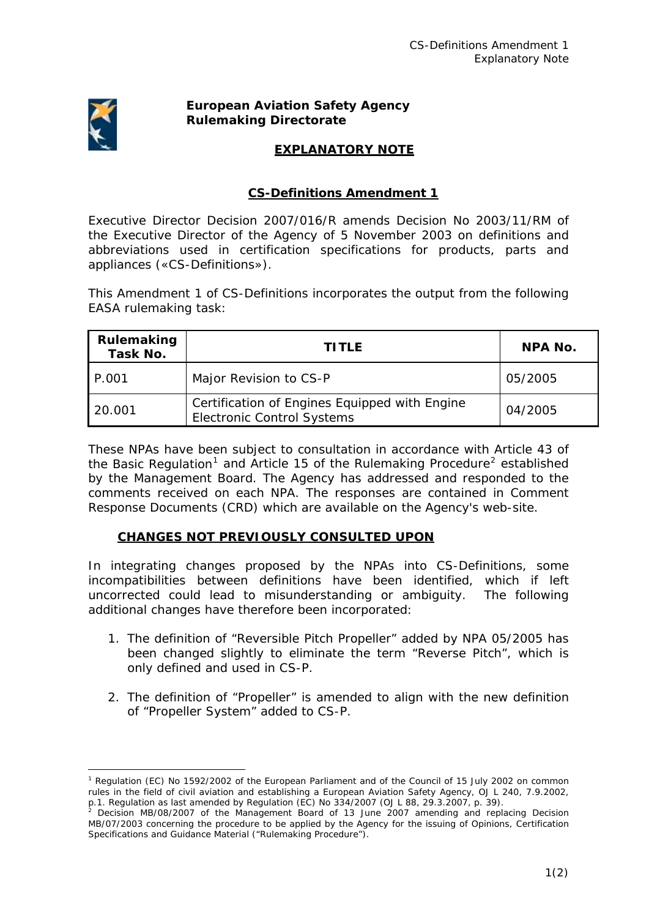

1

## **European Aviation Safety Agency Rulemaking Directorate**

## **EXPLANATORY NOTE**

## **CS-Definitions Amendment 1**

Executive Director Decision 2007/016/R amends Decision No 2003/11/RM of the Executive Director of the Agency of 5 November 2003 on definitions and abbreviations used in certification specifications for products, parts and appliances («CS-Definitions»).

This Amendment 1 of CS-Definitions incorporates the output from the following EASA rulemaking task:

| Rulemaking<br>Task No. | <b>TITLE</b>                                                                       | <b>NPA No.</b> |
|------------------------|------------------------------------------------------------------------------------|----------------|
| P.001                  | Major Revision to CS-P                                                             | 05/2005        |
| 20.001                 | Certification of Engines Equipped with Engine<br><b>Electronic Control Systems</b> | 04/2005        |

These NPAs have been subject to consultation in accordance with Article 43 of the Basic Regulation<sup>[1](#page-0-0)</sup> and Article 15 of the Rulemaking Procedure<sup>[2](#page-0-1)</sup> established by the Management Board. The Agency has addressed and responded to the comments received on each NPA. The responses are contained in Comment Response Documents (CRD) which are available on the Agency's web-site.

## **CHANGES NOT PREVIOUSLY CONSULTED UPON**

In integrating changes proposed by the NPAs into CS-Definitions, some incompatibilities between definitions have been identified, which if left uncorrected could lead to misunderstanding or ambiguity. The following additional changes have therefore been incorporated:

- 1. The definition of "Reversible Pitch Propeller" added by NPA 05/2005 has been changed slightly to eliminate the term "Reverse Pitch", which is only defined and used in CS-P.
- 2. The definition of "Propeller" is amended to align with the new definition of "Propeller System" added to CS-P.

<span id="page-0-0"></span><sup>&</sup>lt;sup>1</sup> Regulation (EC) No 1592/2002 of the European Parliament and of the Council of 15 July 2002 on common rules in the field of civil aviation and establishing a European Aviation Safety Agency, *OJ L 240, 7.9.2002,* 

<span id="page-0-1"></span>p. 1. Regulation as last amended by Regulation (EC) No 334/2007 *(OJ L 88, 29.3.2007, p. 39)*.<br><sup>2</sup> Decision MB/08/2007 of the Management Board of 13 June 2007 amending and replacing Decision MB/07/2003 concerning the procedure to be applied by the Agency for the issuing of Opinions, Certification Specifications and Guidance Material ("Rulemaking Procedure").